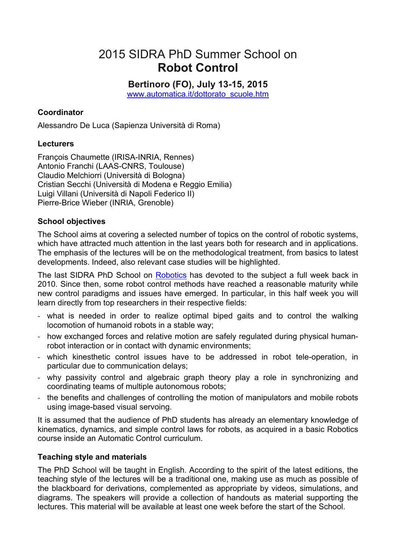# 2015 SIDRA PhD Summer School on **Robot Control**

**Bertinoro (FO), July 13-15, 2015** www.automatica.it/dottorato\_scuole.htm

# **Coordinator**

Alessandro De Luca (Sapienza Università di Roma)

# **Lecturers**

François Chaumette (IRISA-INRIA, Rennes) Antonio Franchi (LAAS-CNRS, Toulouse) Claudio Melchiorri (Università di Bologna) Cristian Secchi (Università di Modena e Reggio Emilia) Luigi Villani (Università di Napoli Federico II) Pierre-Brice Wieber (INRIA, Grenoble)

### **School objectives**

The School aims at covering a selected number of topics on the control of robotic systems, which have attracted much attention in the last years both for research and in applications. The emphasis of the lectures will be on the methodological treatment, from basics to latest developments. Indeed, also relevant case studies will be highlighted.

The last SIDRA PhD School on Robotics has devoted to the subject a full week back in 2010. Since then, some robot control methods have reached a reasonable maturity while new control paradigms and issues have emerged. In particular, in this half week you will learn directly from top researchers in their respective fields:

- what is needed in order to realize optimal biped gaits and to control the walking locomotion of humanoid robots in a stable way;
- how exchanged forces and relative motion are safely regulated during physical humanrobot interaction or in contact with dynamic environments;
- which kinesthetic control issues have to be addressed in robot tele-operation, in particular due to communication delays;
- why passivity control and algebraic graph theory play a role in synchronizing and coordinating teams of multiple autonomous robots;
- the benefits and challenges of controlling the motion of manipulators and mobile robots using image-based visual servoing.

It is assumed that the audience of PhD students has already an elementary knowledge of kinematics, dynamics, and simple control laws for robots, as acquired in a basic Robotics course inside an Automatic Control curriculum.

# **Teaching style and materials**

The PhD School will be taught in English. According to the spirit of the latest editions, the teaching style of the lectures will be a traditional one, making use as much as possible of the blackboard for derivations, complemented as appropriate by videos, simulations, and diagrams. The speakers will provide a collection of handouts as material supporting the lectures. This material will be available at least one week before the start of the School.